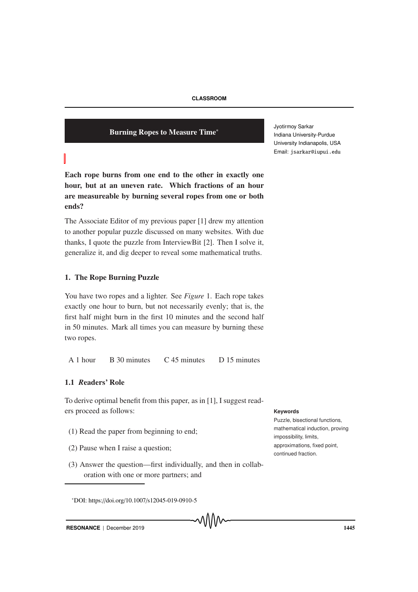## Burning Ropes to Measure Time<sup>∗</sup>

Jyotirmoy Sarkar Indiana University-Purdue University Indianapolis, USA Email: jsarkar@iupui.edu

Each rope burns from one end to the other in exactly one hour, but at an uneven rate. Which fractions of an hour are measureable by burning several ropes from one or both ends?

The Associate Editor of my previous paper [1] drew my attention to another popular puzzle discussed on many websites. With due thanks, I quote the puzzle from InterviewBit [2]. Then I solve it, generalize it, and dig deeper to reveal some mathematical truths.

# 1. The Rope Burning Puzzle

You have two ropes and a lighter. See *Figure* 1. Each rope takes exactly one hour to burn, but not necessarily evenly; that is, the first half might burn in the first 10 minutes and the second half in 50 minutes. Mark all times you can measure by burning these two ropes.

A 1 hour B 30 minutes C 45 minutes D 15 minutes

# 1.1 *R*eaders' Role

To derive optimal benefit from this paper, as in [1], I suggest readers proceed as follows: **Keywords**

- (1) Read the paper from beginning to end;
- (2) Pause when I raise a question;
- (3) Answer the question—first individually, and then in collaboration with one or more partners; and

<sup>∗</sup>DOI: https://doi.org/10.1007/s12045-019-0910-5

Puzzle, bisectional functions, mathematical induction, proving impossibility, limits, approximations, fixed point, continued fraction.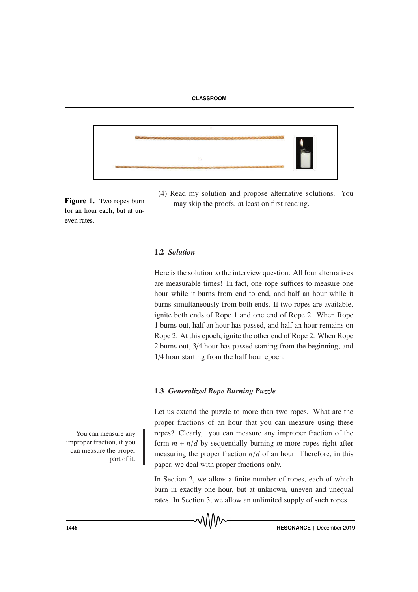



Figure 1. Two ropes burn for an hour each, but at uneven rates.

(4) Read my solution and propose alternative solutions. You may skip the proofs, at least on first reading.

# 1.2 *Solution*

Here is the solution to the interview question: All four alternatives are measurable times! In fact, one rope suffices to measure one hour while it burns from end to end, and half an hour while it burns simultaneously from both ends. If two ropes are available, ignite both ends of Rope 1 and one end of Rope 2. When Rope 1 burns out, half an hour has passed, and half an hour remains on Rope 2. At this epoch, ignite the other end of Rope 2. When Rope 2 burns out, 3/4 hour has passed starting from the beginning, and 1/4 hour starting from the half hour epoch.

# 1.3 *Generalized Rope Burning Puzzle*

Let us extend the puzzle to more than two ropes. What are the proper fractions of an hour that you can measure using these ropes? Clearly, you can measure any improper fraction of the form  $m + n/d$  by sequentially burning *m* more ropes right after measuring the proper fraction  $n/d$  of an hour. Therefore, in this paper, we deal with proper fractions only.

In Section 2, we allow a finite number of ropes, each of which burn in exactly one hour, but at unknown, uneven and unequal rates. In Section 3, we allow an unlimited supply of such ropes.



You can measure any improper fraction, if you can measure the proper part of it.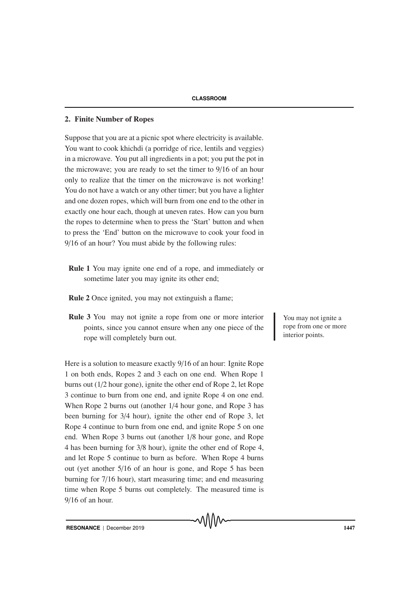## 2. Finite Number of Ropes

Suppose that you are at a picnic spot where electricity is available. You want to cook khichdi (a porridge of rice, lentils and veggies) in a microwave. You put all ingredients in a pot; you put the pot in the microwave; you are ready to set the timer to 9/16 of an hour only to realize that the timer on the microwave is not working! You do not have a watch or any other timer; but you have a lighter and one dozen ropes, which will burn from one end to the other in exactly one hour each, though at uneven rates. How can you burn the ropes to determine when to press the 'Start' button and when to press the 'End' button on the microwave to cook your food in 9/16 of an hour? You must abide by the following rules:

- Rule 1 You may ignite one end of a rope, and immediately or sometime later you may ignite its other end;
- Rule 2 Once ignited, you may not extinguish a flame;
- **Rule 3** You may not ignite a rope from one or more interior You may not ignite a points, since you cannot ensure when any one piece of the rope will completely burn out.

Here is a solution to measure exactly 9/16 of an hour: Ignite Rope 1 on both ends, Ropes 2 and 3 each on one end. When Rope 1 burns out (1/2 hour gone), ignite the other end of Rope 2, let Rope 3 continue to burn from one end, and ignite Rope 4 on one end. When Rope 2 burns out (another 1/4 hour gone, and Rope 3 has been burning for 3/4 hour), ignite the other end of Rope 3, let Rope 4 continue to burn from one end, and ignite Rope 5 on one end. When Rope 3 burns out (another 1/8 hour gone, and Rope 4 has been burning for 3/8 hour), ignite the other end of Rope 4, and let Rope 5 continue to burn as before. When Rope 4 burns out (yet another 5/16 of an hour is gone, and Rope 5 has been burning for 7/16 hour), start measuring time; and end measuring time when Rope 5 burns out completely. The measured time is 9/16 of an hour.

rope from one or more interior points.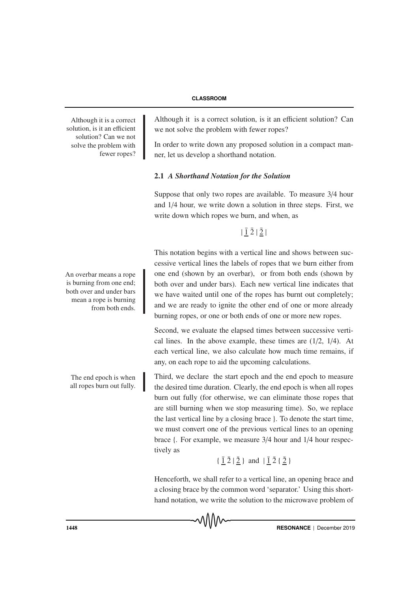Although it is a correct solution, is it an efficient solution? Can we not solve the problem with fewer ropes? Although it is a correct solution, is it an efficient solution? Can we not solve the problem with fewer ropes?

In order to write down any proposed solution in a compact manner, let us develop a shorthand notation.

# 2.1 *A Shorthand Notation for the Solution*

Suppose that only two ropes are available. To measure 3/4 hour and 1/4 hour, we write down a solution in three steps. First, we write down which ropes we burn, and when, as

 $|\bar{1}\bar{2}|\bar{2}|$ 

This notation begins with a vertical line and shows between successive vertical lines the labels of ropes that we burn either from An overbar means a rope one end (shown by an overbar), or from both ends (shown by both over and under bars). Each new vertical line indicates that we have waited until one of the ropes has burnt out completely; and we are ready to ignite the other end of one or more already burning ropes, or one or both ends of one or more new ropes.

> Second, we evaluate the elapsed times between successive vertical lines. In the above example, these times are (1/2, 1/4). At each vertical line, we also calculate how much time remains, if any, on each rope to aid the upcoming calculations.

> Third, we declare the start epoch and the end epoch to measure the desired time duration. Clearly, the end epoch is when all ropes burn out fully (for otherwise, we can eliminate those ropes that are still burning when we stop measuring time). So, we replace the last vertical line by a closing brace }. To denote the start time, we must convert one of the previous vertical lines to an opening brace {. For example, we measure 3/4 hour and 1/4 hour respectively as

```
\{\bar{1}\bar{2}|\bar{2}\} and |\bar{1}\bar{2}\{\bar{2}\}\
```
Henceforth, we shall refer to a vertical line, an opening brace and a closing brace by the common word 'separator.' Using this shorthand notation, we write the solution to the microwave problem of

᠕᠕᠕᠕

is burning from one end; both over and under bars mean a rope is burning from both ends.

The end epoch is when all ropes burn out fully.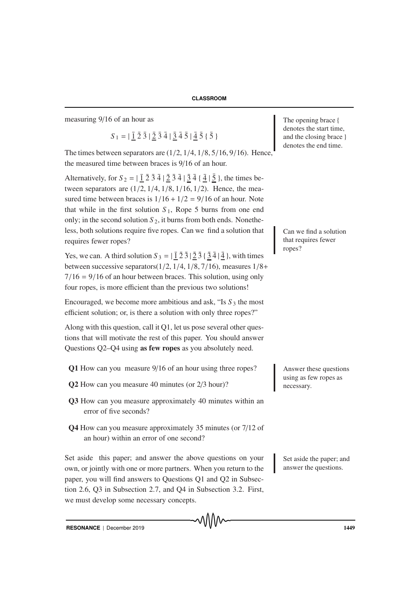measuring 9/16 of an hour as The opening brace { The opening brace { The opening brace }

 $S_1 = |\bar{1}\bar{2}\bar{3}|\bar{2}\bar{3}\bar{4}|\bar{3}\bar{4}\bar{5}|\bar{4}\bar{5}\bar{5}|$ 

The times between separators are  $(1/2, 1/4, 1/8, 5/16, 9/16)$ . Hence, the measured time between braces is 9/16 of an hour.

Alternatively, for  $S_2 = |\vec{1} \cdot \vec{2} \cdot \vec{3} \cdot \vec{4}|$   $|\vec{2} \cdot \vec{3} \cdot \vec{4}|$   $|\vec{3} \cdot \vec{4}|$   $|\vec{5} \cdot \vec{5}|$ , the times between separators are  $(1/2, 1/4, 1/8, 1/16, 1/2)$ . Hence, the measured time between braces is  $1/16 + 1/2 = 9/16$  of an hour. Note that while in the first solution  $S_1$ , Rope 5 burns from one end only; in the second solution  $S_2$ , it burns from both ends. Nonetheless, both solutions require five ropes. Can we find a solution that Can we find a solution requires fewer ropes?

Yes, we can. A third solution  $S_3 = |\overline{1} \overline{2} \overline{3} | \overline{2} \overline{3} \{ \overline{3} \overline{4} | \overline{4} \}$ , with times between successive separators $(1/2, 1/4, 1/8, 7/16)$ , measures  $1/8+$  $7/16 = 9/16$  of an hour between braces. This solution, using only four ropes, is more efficient than the previous two solutions!

Encouraged, we become more ambitious and ask, "Is *S* <sup>3</sup> the most efficient solution; or, is there a solution with only three ropes?"

Along with this question, call it Q1, let us pose several other questions that will motivate the rest of this paper. You should answer Questions Q2–Q4 using as few ropes as you absolutely need.

- Q1 How can you measure 9/16 of an hour using three ropes? Answer these questions
- Q2 How can you measure 40 minutes (or 2/3 hour)?
- Q3 How can you measure approximately 40 minutes within an error of five seconds?
- Q4 How can you measure approximately 35 minutes (or 7/12 of an hour) within an error of one second?

Set aside this paper; and answer the above questions on your Set aside the paper; and own, or jointly with one or more partners. When you return to the paper, you will find answers to Questions Q1 and Q2 in Subsection 2.6, Q3 in Subsection 2.7, and Q4 in Subsection 3.2. First, we must develop some necessary concepts.

denotes the start time, and the closing brace } denotes the end time.

that requires fewer ropes?

using as few ropes as necessary.

answer the questions.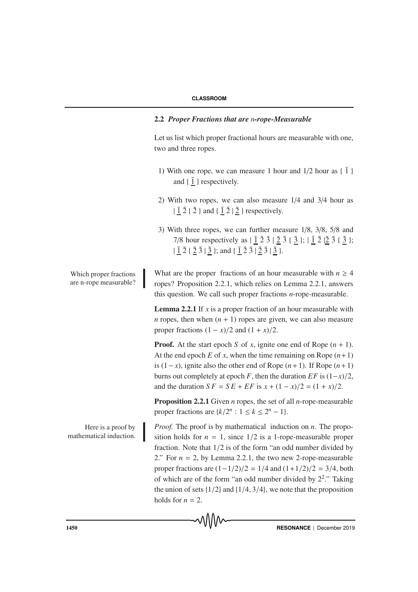# 2.2 *Proper Fractions that are n-rope-Measurable*

Let us list which proper fractional hours are measurable with one, two and three ropes.

- 1) With one rope, we can measure 1 hour and  $1/2$  hour as  $\{\bar{1}\}$ and  $\{ \bar{1} \}$  respectively.
- 2) With two ropes, we can also measure 1/4 and 3/4 hour as  $|\bar{1}\bar{2}\{\bar{2}\}\rangle$  and  $\{\bar{1}\bar{2}\}\bar{2}\}$  respectively.
- 3) With three ropes, we can further measure 1/8, 3/8, 5/8 and 7/8 hour respectively as  $|\bar{1}\bar{2}\bar{3}|\bar{2}\bar{3}|\bar{2}\bar{3}|; |\bar{1}\bar{2}|\bar{2}\bar{3}|;\bar{3}|;$  $| \bar{1} \bar{2} \{ \bar{2} \bar{3} | \bar{3} \};$  and  $\{ \bar{1} \bar{2} \bar{3} | \bar{2} \bar{3} | \bar{3} \}.$

are n-rope measurable?

mathematical induction.

Which proper fractions What are the proper fractions of an hour measurable with  $n \geq 4$ ropes? Proposition 2.2.1, which relies on Lemma 2.2.1, answers this question. We call such proper fractions *n*-rope-measurable.

> **Lemma 2.2.1** If *x* is a proper fraction of an hour measurable with *n* ropes, then when  $(n + 1)$  ropes are given, we can also measure proper fractions  $(1 - x)/2$  and  $(1 + x)/2$ .

> **Proof.** At the start epoch *S* of *x*, ignite one end of Rope  $(n + 1)$ . At the end epoch  $E$  of  $x$ , when the time remaining on Rope  $(n+1)$ is (1− *x*), ignite also the other end of Rope (*n*+1). If Rope (*n*+1) burns out completely at epoch *F*, then the duration  $EF$  is  $(1-x)/2$ , and the duration  $SF = SE + EF$  is  $x + (1 - x)/2 = (1 + x)/2$ .

> Proposition 2.2.1 Given *n* ropes, the set of all *n*-rope-measurable proper fractions are  $\{k/2^n : 1 \le k \le 2^n - 1\}$ .

Here is a proof by *Proof.* The proof is by mathematical induction on *n*. The proposition holds for  $n = 1$ , since  $1/2$  is a 1-rope-measurable proper fraction. Note that 1/2 is of the form "an odd number divided by 2." For  $n = 2$ , by Lemma 2.2.1, the two new 2-rope-measurable proper fractions are  $(1-1/2)/2 = 1/4$  and  $(1+1/2)/2 = 3/4$ , both of which are of the form "an odd number divided by  $2^2$ ." Taking the union of sets  $\{1/2\}$  and  $\{1/4, 3/4\}$ , we note that the proposition holds for  $n = 2$ .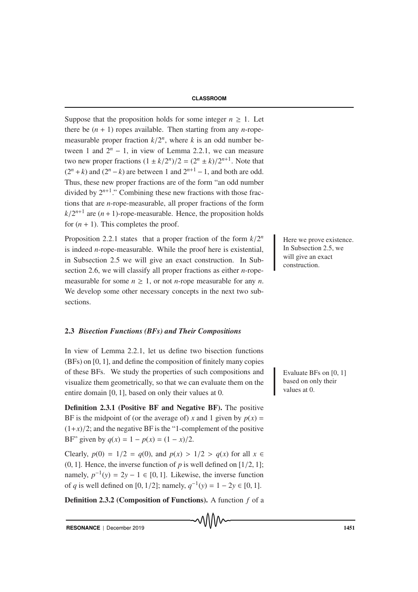Suppose that the proposition holds for some integer  $n \geq 1$ . Let there be  $(n + 1)$  ropes available. Then starting from any *n*-ropemeasurable proper fraction  $k/2^n$ , where *k* is an odd number between 1 and  $2^n - 1$ , in view of Lemma 2.2.1, we can measure two new proper fractions  $(1 \pm k/2^n)/2 = (2^n \pm k)/2^{n+1}$ . Note that  $(2^n + k)$  and  $(2^n - k)$  are between 1 and  $2^{n+1} - 1$ , and both are odd. Thus, these new proper fractions are of the form "an odd number divided by  $2^{n+1}$ ." Combining these new fractions with those fractions that are *n*-rope-measurable, all proper fractions of the form  $k/2^{n+1}$  are  $(n + 1)$ -rope-measurable. Hence, the proposition holds for  $(n + 1)$ . This completes the proof.

Proposition 2.2.1 states that a proper fraction of the form  $k/2^n$  Here we prove existence. is indeed *n*-rope-measurable. While the proof here is existential, in Subsection 2.5 we will give an exact construction. In Subsection 2.6, we will classify all proper fractions as either *n*-ropemeasurable for some  $n \geq 1$ , or not *n*-rope measurable for any *n*. We develop some other necessary concepts in the next two subsections.

#### 2.3 *Bisection Functions (BFs) and Their Compositions*

In view of Lemma 2.2.1, let us define two bisection functions (BFs) on [0, 1], and define the composition of finitely many copies of these BFs. We study the properties of such compositions and Evaluate BFs on [0, 1] visualize them geometrically, so that we can evaluate them on the entire domain [0, 1], based on only their values at 0.

Definition 2.3.1 (Positive BF and Negative BF). The positive BF is the midpoint of (or the average of) *x* and 1 given by  $p(x) =$  $(1+x)/2$ ; and the negative BF is the "1-complement of the positive BF" given by  $q(x) = 1 - p(x) = (1 - x)/2$ .

Clearly,  $p(0) = 1/2 = q(0)$ , and  $p(x) > 1/2 > q(x)$  for all  $x \in$  $(0, 1]$ . Hence, the inverse function of *p* is well defined on [1/2, 1]; namely,  $p^{-1}(y) = 2y - 1 \in [0, 1]$ . Likewise, the inverse function of *q* is well defined on [0, 1/2]; namely,  $q^{-1}(y) = 1 - 2y \in [0, 1]$ .

Definition 2.3.2 (Composition of Functions). A function *f* of a

**RESONANCE** | December 2019 **1451** 

In Subsection 2.5, we will give an exact construction.

based on only their values at 0.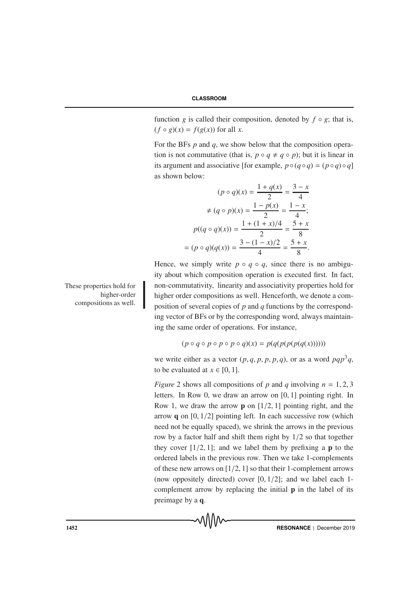function *g* is called their composition, denoted by  $f \circ g$ ; that is,  $(f \circ g)(x) = f(g(x))$  for all *x*.

For the BFs *p* and *q*, we show below that the composition operation is not commutative (that is,  $p \circ q \neq q \circ p$ ); but it is linear in its argument and associative [for example,  $p \circ (q \circ q) = (p \circ q) \circ q$ ] as shown below:

$$
(p \circ q)(x) = \frac{1 + q(x)}{2} = \frac{3 - x}{4}
$$

$$
\neq (q \circ p)(x) = \frac{1 - p(x)}{2} = \frac{1 - x}{4};
$$

$$
p((q \circ q)(x)) = \frac{1 + (1 + x)/4}{2} = \frac{5 + x}{8}
$$

$$
= (p \circ q)(q(x)) = \frac{3 - (1 - x)/2}{4} = \frac{5 + x}{8}.
$$

Hence, we simply write  $p \circ q \circ q$ , since there is no ambiguity about which composition operation is executed first. In fact, non-commutativity, linearity and associativity properties hold for higher order compositions as well. Henceforth, we denote a composition of several copies of *p* and *q* functions by the corresponding vector of BFs or by the corresponding word, always maintaining the same order of operations. For instance,

$$
(p \circ q \circ p \circ p \circ p \circ q)(x) = p(q(p(p(p(q(x))))))
$$

we write either as a vector  $(p, q, p, p, p, q)$ , or as a word  $pqp^3q$ , to be evaluated at  $x \in [0, 1]$ .

*Figure* 2 shows all compositions of *p* and *q* involving  $n = 1, 2, 3$ letters. In Row 0, we draw an arrow on [0, 1] pointing right. In Row 1, we draw the arrow **p** on  $\left[1/2, 1\right]$  pointing right, and the arrow  $q$  on  $[0, 1/2]$  pointing left. In each successive row (which need not be equally spaced), we shrink the arrows in the previous row by a factor half and shift them right by 1/2 so that together they cover  $[1/2, 1]$ ; and we label them by prefixing a **p** to the ordered labels in the previous row. Then we take 1-complements of these new arrows on  $[1/2, 1]$  so that their 1-complement arrows (now oppositely directed) cover  $[0, 1/2]$ ; and we label each 1complement arrow by replacing the initial  $\bf{p}$  in the label of its preimage by a q.

These properties hold for higher-order compositions as well.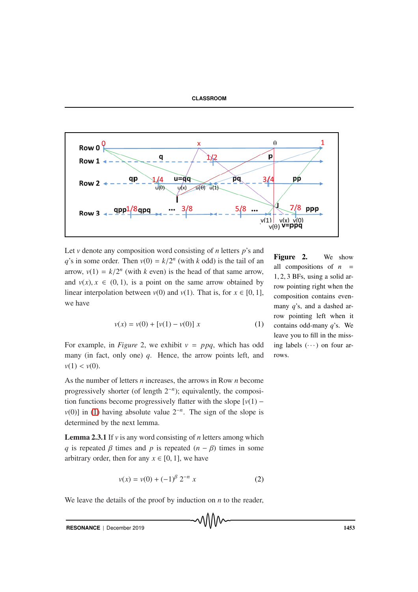



Let *v* denote any composition word consisting of *n* letters *p*'s and *q*'s in some order. Then  $v(0) = k/2^n$  (with *k* odd) is the tail of an arrow,  $v(1) = k/2^n$  (with *k* even) is the head of that same arrow, and  $v(x)$ ,  $x \in (0, 1)$ , is a point on the same arrow obtained by linear interpolation between  $v(0)$  and  $v(1)$ . That is, for  $x \in [0, 1]$ , we have

<span id="page-8-0"></span>
$$
v(x) = v(0) + [v(1) - v(0)] x
$$
 (1)

For example, in *Figure* 2, we exhibit  $v = ppq$ , which has odd many (in fact, only one) *q*. Hence, the arrow points left, and  $v(1) < v(0)$ .

As the number of letters *n* increases, the arrows in Row *n* become progressively shorter (of length 2−*n*); equivalently, the composition functions become progressively flatter with the slope  $[v(1)$ *v*(0)] in [\(1\)](#page-8-0) having absolute value  $2^{-n}$ . The sign of the slope is determined by the next lemma.

Lemma 2.3.1 If *v* is any word consisting of *n* letters among which *q* is repeated  $\beta$  times and *p* is repeated  $(n - \beta)$  times in some arbitrary order, then for any  $x \in [0, 1]$ , we have

<span id="page-8-1"></span>
$$
v(x) = v(0) + (-1)^{\beta} 2^{-n} x \tag{2}
$$

We leave the details of the proof by induction on *n* to the reader,

**RESONANCE** | December 2019 **1453** 

Figure 2. We show all compositions of  $n =$ 1, 2, 3 BFs, using a solid arrow pointing right when the composition contains evenmany *q*'s, and a dashed arrow pointing left when it contains odd-many *q*'s. We leave you to fill in the missing labels  $(\cdots)$  on four arrows.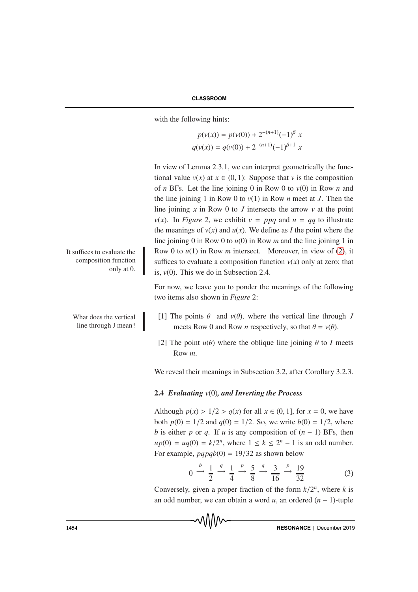with the following hints:

 $p(v(x)) = p(v(0)) + 2^{-(n+1)}(-1)^{\beta} x$  $q(v(x)) = q(v(0)) + 2^{-(n+1)}(-1)^{\beta+1} x$ 

In view of Lemma 2.3.1, we can interpret geometrically the functional value  $v(x)$  at  $x \in (0, 1)$ : Suppose that  $v$  is the composition of *n* BFs. Let the line joining 0 in Row 0 to  $v(0)$  in Row *n* and the line joining 1 in Row 0 to *v*(1) in Row *n* meet at *J*. Then the line joining *x* in Row 0 to *J* intersects the arrow *v* at the point *v*(*x*). In *Figure* 2, we exhibit  $v = ppq$  and  $u = qq$  to illustrate the meanings of  $v(x)$  and  $u(x)$ . We define as *I* the point where the line joining 0 in Row 0 to *u*(0) in Row *m* and the line joining 1 in It suffices to evaluate the Row 0 to  $u(1)$  in Row *m* intersect. Moreover, in view of [\(2\)](#page-8-1), it suffices to evaluate a composition function  $v(x)$  only at zero; that is,  $v(0)$ . This we do in Subsection 2.4.

> For now, we leave you to ponder the meanings of the following two items also shown in *Figure* 2:

- [1] The points  $\theta$  and  $v(\theta)$ , where the vertical line through *J* meets Row 0 and Row *n* respectively, so that  $\theta = v(\theta)$ .
- [2] The point  $u(\theta)$  where the oblique line joining  $\theta$  to *I* meets Row *m*.

We reveal their meanings in Subsection 3.2, after Corollary 3.2.3.

## 2.4 *Evaluating v*(0)*, and Inverting the Process*

Although  $p(x) > 1/2 > q(x)$  for all  $x \in (0, 1]$ , for  $x = 0$ , we have both  $p(0) = 1/2$  and  $q(0) = 1/2$ . So, we write  $b(0) = 1/2$ , where *b* is either *p* or *q*. If *u* is any composition of  $(n - 1)$  BFs, then  $up(0) = uq(0) = k/2^n$ , where  $1 \le k \le 2^n - 1$  is an odd number. For example,  $pqpqb(0) = 19/32$  as shown below

<span id="page-9-0"></span>
$$
0 \xrightarrow{b} \frac{1}{2} \xrightarrow{q} \frac{1}{4} \xrightarrow{p} \frac{5}{8} \xrightarrow{q} \frac{3}{16} \xrightarrow{p} \frac{19}{32}
$$
 (3)

Conversely, given a proper fraction of the form  $k/2^n$ , where *k* is an odd number, we can obtain a word *u*, an ordered (*n* − 1)-tuple

composition function only at 0.

> What does the vertical line through J mean?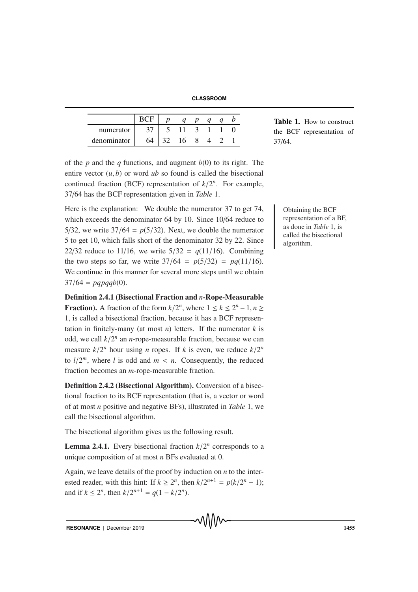**CLASSROOM**

|             |    |    | a |  |
|-------------|----|----|---|--|
| numerator   |    |    |   |  |
| denominator | 64 | 16 |   |  |

Table 1. How to construct the BCF representation of 37/64.

of the *p* and the *q* functions, and augment *b*(0) to its right. The entire vector  $(u, b)$  or word  $ub$  so found is called the bisectional continued fraction (BCF) representation of  $k/2^n$ . For example, 37/64 has the BCF representation given in *Table* 1.

Here is the explanation: We double the numerator  $37$  to get  $74$ , Obtaining the BCF which exceeds the denominator 64 by 10. Since 10/64 reduce to 5/32, we write  $37/64 = p(5/32)$ . Next, we double the numerator 5 to get 10, which falls short of the denominator 32 by 22. Since 22/32 reduce to 11/16, we write  $5/32 = q(11/16)$ . Combining the two steps so far, we write  $37/64 = p(5/32) = pq(11/16)$ . We continue in this manner for several more steps until we obtain  $37/64 = pqpqqb(0).$ 

Definition 2.4.1 (Bisectional Fraction and *n*-Rope-Measurable **Fraction**). A fraction of the form  $k/2^n$ , where  $1 \le k \le 2^n - 1$ ,  $n \ge k$ 1, is called a bisectional fraction, because it has a BCF representation in finitely-many (at most *n*) letters. If the numerator  $k$  is odd, we call  $k/2^n$  an *n*-rope-measurable fraction, because we can measure  $k/2^n$  hour using *n* ropes. If *k* is even, we reduce  $k/2^n$ to  $l/2^m$ , where *l* is odd and  $m < n$ . Consequently, the reduced fraction becomes an *m*-rope-measurable fraction.

Definition 2.4.2 (Bisectional Algorithm). Conversion of a bisectional fraction to its BCF representation (that is, a vector or word of at most *n* positive and negative BFs), illustrated in *Table* 1, we call the bisectional algorithm.

The bisectional algorithm gives us the following result.

**Lemma 2.4.1.** Every bisectional fraction  $k/2^n$  corresponds to a unique composition of at most *n* BFs evaluated at 0.

Again, we leave details of the proof by induction on *n* to the interested reader, with this hint: If  $k \geq 2^n$ , then  $k/2^{n+1} = p(k/2^n - 1)$ ; and if  $k \le 2^n$ , then  $k/2^{n+1} = q(1 - k/2^n)$ .

representation of a BF, as done in *Table* 1, is called the bisectional algorithm.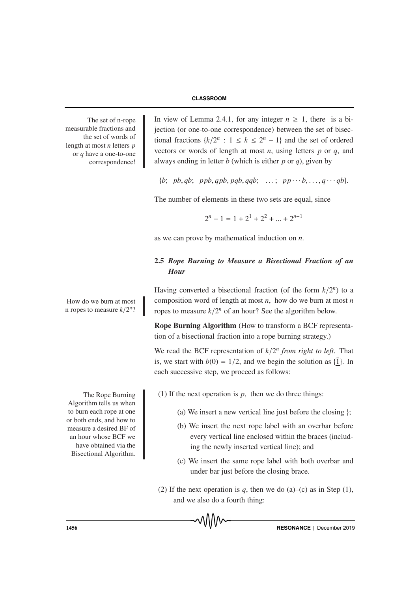measurable fractions and the set of words of length at most *n* letters *p* or *q* have a one-to-one correspondence!

n ropes to measure  $k/2^n$ ?

Algorithm tells us when to burn each rope at one or both ends, and how to measure a desired BF of an hour whose BCF we have obtained via the Bisectional Algorithm.

The set of n-rope In view of Lemma 2.4.1, for any integer  $n \geq 1$ , there is a bijection (or one-to-one correspondence) between the set of bisectional fractions  $\{k/2^n : 1 \le k \le 2^n - 1\}$  and the set of ordered vectors or words of length at most *n*, using letters *p* or *q*, and always ending in letter *b* (which is either *p* or *q*), given by

 ${b; pb, qb; pb, qpb, qpb, qqb; ...; pp...b, ..., q...qb}.$ 

The number of elements in these two sets are equal, since

$$
2^{n} - 1 = 1 + 2^{1} + 2^{2} + \dots + 2^{n-1}
$$

as we can prove by mathematical induction on *n*.

# 2.5 *Rope Burning to Measure a Bisectional Fraction of an Hour*

Having converted a bisectional fraction (of the form  $k/2^n$ ) to a How do we burn at most  $\parallel$  composition word of length at most *n*, how do we burn at most *n* ropes to measure  $k/2^n$  of an hour? See the algorithm below.

> Rope Burning Algorithm (How to transform a BCF representation of a bisectional fraction into a rope burning strategy.)

> We read the BCF representation of  $k/2^n$  *from right to left*. That is, we start with  $b(0) = 1/2$ , and we begin the solution as  $\{\bar{1}\}\$ . In each successive step, we proceed as follows:

The Rope Burning  $(1)$  If the next operation is *p*, then we do three things:

- (a) We insert a new vertical line just before the closing  $\cdot$ :
- (b) We insert the next rope label with an overbar before every vertical line enclosed within the braces (including the newly inserted vertical line); and
- (c) We insert the same rope label with both overbar and under bar just before the closing brace.
- (2) If the next operation is  $q$ , then we do (a)–(c) as in Step (1), and we also do a fourth thing:

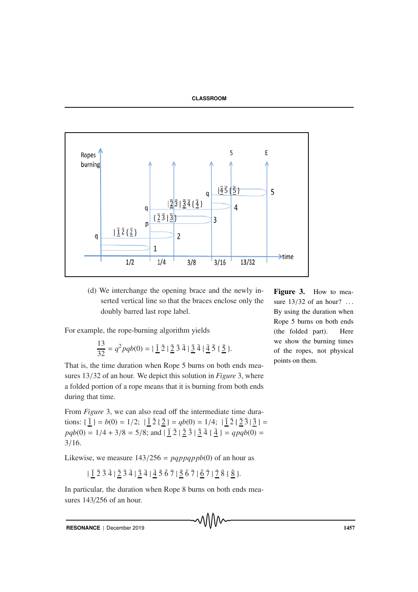

(d) We interchange the opening brace and the newly inserted vertical line so that the braces enclose only the doubly barred last rope label.

For example, the rope-burning algorithm yields

$$
\frac{13}{32} = q^2 pqb(0) = |\bar{1}\bar{2}|\bar{2}\bar{3}\bar{4}|\bar{3}\bar{4}|\bar{4}\bar{5}|\bar{5}.
$$

That is, the time duration when Rope 5 burns on both ends measures 13/32 of an hour. We depict this solution in *Figure* 3, where a folded portion of a rope means that it is burning from both ends during that time.

From *Figure* 3, we can also read off the intermediate time durations:  $\{\underline{\bar{1}}\} = b(0) = 1/2; |\underline{\bar{1}}\bar{2}\{\underline{\bar{2}}\} = qb(0) = 1/4; |\underline{\bar{1}}\bar{2}\{\underline{\bar{2}}\bar{3}\} =$  $pqb(0) = 1/4 + 3/8 = 5/8$ ; and  $|\bar{1}\bar{2}|\bar{2}\bar{3}|\bar{3}\bar{4}|\bar{4} = qpqb(0) =$ 3/16.

Likewise, we measure  $143/256 = pqppqppb(0)$  of an hour as

$$
|\bar{1}\bar{2}\bar{3}\bar{4}| \bar{2}\bar{3}\bar{4}| \bar{3}\bar{4}| \bar{4}\bar{5}\bar{6}\bar{7}| \bar{5}\bar{6}\bar{7}| \bar{6}\bar{7}| \bar{7}| \bar{8}\bar{8}|.
$$

In particular, the duration when Rope 8 burns on both ends measures 143/256 of an hour.

**RESONANCE** | December 2019 **1457** 

Figure 3. How to measure  $13/32$  of an hour? ... By using the duration when Rope 5 burns on both ends (the folded part). Here we show the burning times of the ropes, not physical points on them.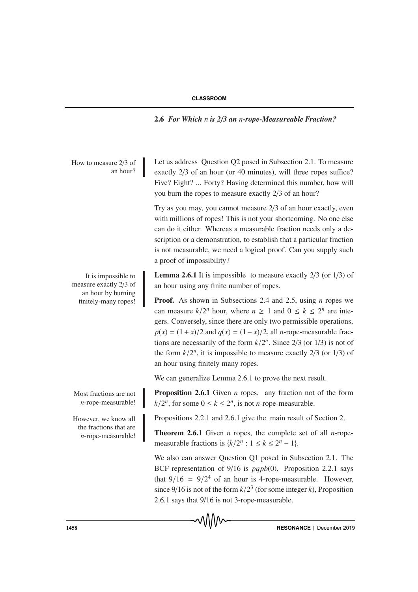2.6 *For Which n is 2*/*3 an n-rope-Measureable Fraction?*

How to measure  $2/3$  of an hour?

measure exactly 2/3 of an hour by burning finitely-many ropes!

*n*-rope-measurable!

the fractions that are *n*-rope-measurable! Let us address Question Q2 posed in Subsection 2.1. To measure exactly 2/3 of an hour (or 40 minutes), will three ropes suffice? Five? Eight? ... Forty? Having determined this number, how will you burn the ropes to measure exactly 2/3 of an hour?

Try as you may, you cannot measure 2/3 of an hour exactly, even with millions of ropes! This is not your shortcoming. No one else can do it either. Whereas a measurable fraction needs only a description or a demonstration, to establish that a particular fraction is not measurable, we need a logical proof. Can you supply such a proof of impossibility?

It is impossible to **Lemma 2.6.1** It is impossible to measure exactly  $2/3$  (or  $1/3$ ) of an hour using any finite number of ropes.

> Proof. As shown in Subsections 2.4 and 2.5, using *n* ropes we can measure  $k/2^n$  hour, where  $n \ge 1$  and  $0 \le k \le 2^n$  are integers. Conversely, since there are only two permissible operations,  $p(x) = (1 + x)/2$  and  $q(x) = (1 - x)/2$ , all *n*-rope-measurable fractions are necessarily of the form  $k/2^n$ . Since  $2/3$  (or  $1/3$ ) is not of the form  $k/2^n$ , it is impossible to measure exactly 2/3 (or 1/3) of an hour using finitely many ropes.

We can generalize Lemma 2.6.1 to prove the next result.

Most fractions are not **Proposition 2.6.1** Given *n* ropes, any fraction not of the form  $k/2^n$ , for some  $0 \le k \le 2^n$ , is not *n*-rope-measurable.

However, we know all Propositions 2.2.1 and 2.6.1 give the main result of Section 2.

Theorem 2.6.1 Given *n* ropes, the complete set of all *n*-ropemeasurable fractions is  $\{k/2^n : 1 \le k \le 2^n - 1\}$ .

We also can answer Question Q1 posed in Subsection 2.1. The BCF representation of 9/16 is *pqpb*(0). Proposition 2.2.1 says that  $9/16 = 9/2<sup>4</sup>$  of an hour is 4-rope-measurable. However, since 9/16 is not of the form  $k/2<sup>3</sup>$  (for some integer *k*), Proposition 2.6.1 says that 9/16 is not 3-rope-measurable.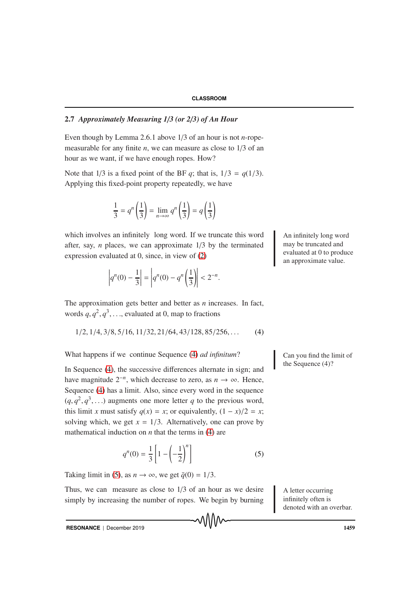# 2.7 *Approximately Measuring 1*/*3 (or 2*/*3) of An Hour*

Even though by Lemma 2.6.1 above 1/3 of an hour is not *n*-ropemeasurable for any finite *n*, we can measure as close to 1/3 of an hour as we want, if we have enough ropes. How?

Note that  $1/3$  is a fixed point of the BF *q*; that is,  $1/3 = q(1/3)$ . Applying this fixed-point property repeatedly, we have

$$
\frac{1}{3} = q^n \left(\frac{1}{3}\right) = \lim_{n \to \infty} q^n \left(\frac{1}{3}\right) = q \left(\frac{1}{3}\right)
$$

which involves an infinitely long word. If we truncate this word An infinitely long word after, say, *n* places, we can approximate 1/3 by the terminated expression evaluated at 0, since, in view of [\(2\)](#page-8-1)

$$
\left| q^n(0) - \frac{1}{3} \right| = \left| q^n(0) - q^n \left( \frac{1}{3} \right) \right| < 2^{-n}.
$$

The approximation gets better and better as *n* increases. In fact, words  $q, q^2, q^3, \ldots$ , evaluated at 0, map to fractions

<span id="page-14-0"></span>
$$
1/2, 1/4, 3/8, 5/16, 11/32, 21/64, 43/128, 85/256, ...
$$
 (4)

What happens if we continue Sequence [\(4\)](#page-14-0) *ad infinitum*? Can you find the limit of

In Sequence [\(4\)](#page-14-0), the successive differences alternate in sign; and have magnitude  $2^{-n}$ , which decrease to zero, as  $n \to \infty$ . Hence, Sequence [\(4\)](#page-14-0) has a limit. Also, since every word in the sequence  $(q, q^2, q^3,...)$  augments one more letter *q* to the previous word, this limit *x* must satisfy  $q(x) = x$ ; or equivalently,  $(1 - x)/2 = x$ ; solving which, we get  $x = 1/3$ . Alternatively, one can prove by mathematical induction on *n* that the terms in [\(4\)](#page-14-0) are

<span id="page-14-1"></span>
$$
q^{n}(0) = \frac{1}{3} \left[ 1 - \left( -\frac{1}{2} \right)^{n} \right]
$$
 (5)

᠕᠕᠕

Taking limit in [\(5\)](#page-14-1), as  $n \to \infty$ , we get  $\bar{q}(0) = 1/3$ .

Thus, we can measure as close to  $1/3$  of an hour as we desire A letter occurring simply by increasing the number of ropes. We begin by burning

may be truncated and evaluated at 0 to produce an approximate value.

the Sequence (4)?

infinitely often is denoted with an overbar.

**RESONANCE** | December 2019 **1459**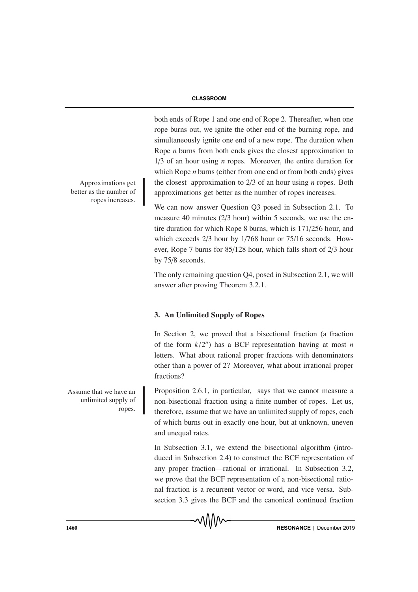both ends of Rope 1 and one end of Rope 2. Thereafter, when one rope burns out, we ignite the other end of the burning rope, and simultaneously ignite one end of a new rope. The duration when Rope *n* burns from both ends gives the closest approximation to 1/3 of an hour using *n* ropes. Moreover, the entire duration for which Rope *n* burns (either from one end or from both ends) gives the closest approximation to  $2/3$  of an hour using *n* ropes. Both approximations get better as the number of ropes increases.

We can now answer Question Q3 posed in Subsection 2.1. To measure 40 minutes (2/3 hour) within 5 seconds, we use the entire duration for which Rope 8 burns, which is 171/256 hour, and which exceeds 2/3 hour by 1/768 hour or 75/16 seconds. However, Rope 7 burns for 85/128 hour, which falls short of 2/3 hour by 75/8 seconds.

The only remaining question Q4, posed in Subsection 2.1, we will answer after proving Theorem 3.2.1.

# 3. An Unlimited Supply of Ropes

In Section 2, we proved that a bisectional fraction (a fraction of the form  $k/2^n$  has a BCF representation having at most *n* letters. What about rational proper fractions with denominators other than a power of 2? Moreover, what about irrational proper fractions?

Assume that we have an Proposition 2.6.1, in particular, says that we cannot measure a non-bisectional fraction using a finite number of ropes. Let us, therefore, assume that we have an unlimited supply of ropes, each of which burns out in exactly one hour, but at unknown, uneven and unequal rates.

> In Subsection 3.1, we extend the bisectional algorithm (introduced in Subsection 2.4) to construct the BCF representation of any proper fraction—rational or irrational. In Subsection 3.2, we prove that the BCF representation of a non-bisectional rational fraction is a recurrent vector or word, and vice versa. Subsection 3.3 gives the BCF and the canonical continued fraction

ropes increases.

Approximations get better as the number of

unlimited supply of ropes.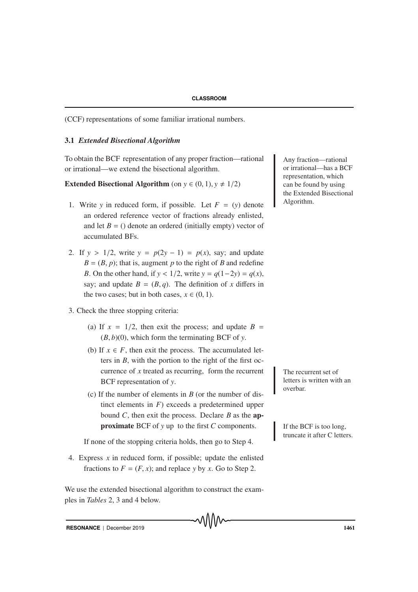(CCF) representations of some familiar irrational numbers.

## 3.1 *Extended Bisectional Algorithm*

To obtain the BCF representation of any proper fraction—rational Any fraction—rational or irrational—we extend the bisectional algorithm.

**Extended Bisectional Algorithm** (on  $y \in (0, 1), y \neq 1/2$ )

- 1. Write *y* in reduced form, if possible. Let  $F = (y)$  denote an ordered reference vector of fractions already enlisted, and let  $B = ($ ) denote an ordered (initially empty) vector of accumulated BFs.
- 2. If  $y > 1/2$ , write  $y = p(2y 1) = p(x)$ , say; and update  $B = (B, p)$ ; that is, augment *p* to the right of *B* and redefine *B*. On the other hand, if  $y < 1/2$ , write  $y = q(1-2y) = q(x)$ , say; and update  $B = (B, q)$ . The definition of *x* differs in the two cases; but in both cases,  $x \in (0, 1)$ .
- 3. Check the three stopping criteria:
	- (a) If  $x = 1/2$ , then exit the process; and update  $B =$  $(B, b)(0)$ , which form the terminating BCF of *y*.
	- (b) If  $x \in F$ , then exit the process. The accumulated letters in *B*, with the portion to the right of the first occurrence of  $x$  treated as recurring, form the recurrent  $\blacksquare$  The recurrent set of BCF representation of *y*.
	- (c) If the number of elements in *B* (or the number of distinct elements in  $F$ ) exceeds a predetermined upper bound *C*, then exit the process. Declare *B* as the ap**proximate** BCF of *y* up to the first *C* components. If the BCF is too long,

If none of the stopping criteria holds, then go to Step 4.

4. Express *x* in reduced form, if possible; update the enlisted fractions to  $F = (F, x)$ ; and replace *y* by *x*. Go to Step 2.

We use the extended bisectional algorithm to construct the examples in *Tables* 2, 3 and 4 below.

or irrational—has a BCF representation, which can be found by using the Extended Bisectional Algorithm.

letters is written with an overbar.

truncate it after C letters.

**RESONANCE** | December 2019 **1461**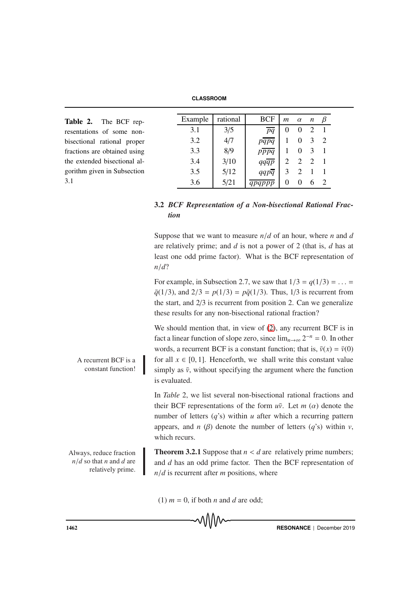**CLASSROOM**

| Table 2. The BCF rep-        | Example | rational | <b>BCF</b> | $m \alpha$ |          | n              | $\beta$        |
|------------------------------|---------|----------|------------|------------|----------|----------------|----------------|
| resentations of some non-    | 3.1     | 3/5      | pq         | $\theta$   | $\theta$ |                |                |
| bisectional rational proper  | 3.2     | 4/7      | papa       |            | $\theta$ |                | $\overline{2}$ |
| fractions are obtained using | 3.3     | 8/9      | pppq       |            | $\theta$ | -3             |                |
| the extended bisectional al- | 3.4     | 3/10     | qqqp       |            |          | $\overline{2}$ |                |
| gorithm given in Subsection  | 3.5     | 5/12     | qqpq       |            |          |                |                |
| 3.1                          | 3.6     | 5/21     |            |            |          |                |                |
|                              |         |          |            |            |          |                |                |

# 3.2 *BCF Representation of a Non-bisectional Rational Fraction*

Suppose that we want to measure *n*/*d* of an hour, where *n* and *d* are relatively prime; and *d* is not a power of 2 (that is, *d* has at least one odd prime factor). What is the BCF representation of *n*/*d*?

For example, in Subsection 2.7, we saw that  $1/3 = q(1/3) = ... =$  $\bar{q}(1/3)$ , and  $2/3 = p(1/3) = p\bar{q}(1/3)$ . Thus, 1/3 is recurrent from the start, and 2/3 is recurrent from position 2. Can we generalize these results for any non-bisectional rational fraction?

We should mention that, in view of  $(2)$ , any recurrent BCF is in fact a linear function of slope zero, since  $\lim_{n\to\infty} 2^{-n} = 0$ . In other words, a recurrent BCF is a constant function; that is,  $\bar{v}(x) = \bar{v}(0)$ A recurrent BCF is a for all  $x \in [0, 1]$ . Henceforth, we shall write this constant value simply as  $\bar{v}$ , without specifying the argument where the function is evaluated.

> In *Table* 2, we list several non-bisectional rational fractions and their BCF representations of the form  $u\bar{v}$ . Let  $m(\alpha)$  denote the number of letters  $(q's)$  within *u* after which a recurring pattern appears, and *n* ( $\beta$ ) denote the number of letters ( $q$ 's) within *v*, which recurs.

Always, reduce fraction **Theorem 3.2.1** Suppose that  $n < d$  are relatively prime numbers; and *d* has an odd prime factor. Then the BCF representation of *n*/*d* is recurrent after *m* positions, where

(1)  $m = 0$ , if both *n* and *d* are odd;

constant function!

*n*/*d* so that *n* and *d* are relatively prime.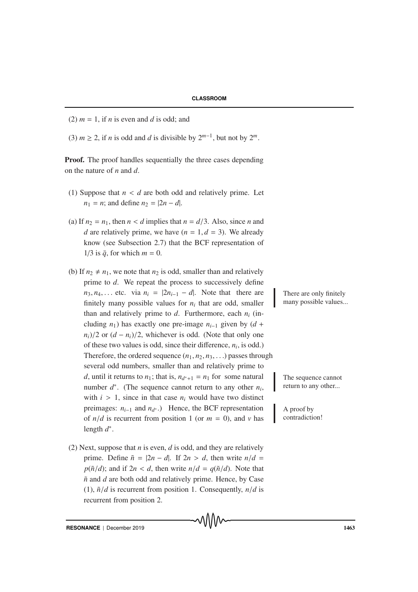(2)  $m = 1$ , if *n* is even and *d* is odd; and

(3)  $m \ge 2$ , if *n* is odd and *d* is divisible by  $2^{m-1}$ , but not by  $2^m$ .

**Proof.** The proof handles sequentially the three cases depending on the nature of *n* and *d*.

- (1) Suppose that  $n < d$  are both odd and relatively prime. Let  $n_1 = n$ ; and define  $n_2 = |2n - d|$ .
- (a) If  $n_2 = n_1$ , then  $n < d$  implies that  $n = d/3$ . Also, since *n* and *d* are relatively prime, we have  $(n = 1, d = 3)$ . We already know (see Subsection 2.7) that the BCF representation of  $1/3$  is  $\bar{q}$ , for which  $m = 0$ .
- (b) If  $n_2 \neq n_1$ , we note that  $n_2$  is odd, smaller than and relatively prime to *d*. We repeat the process to successively define  $n_3, n_4, \ldots$  etc. via  $n_i = |2n_{i-1} - d|$ . Note that there are There are only finitely finitely many possible values for  $n_i$  that are odd, smaller than and relatively prime to  $d$ . Furthermore, each  $n_i$  (including  $n_1$ ) has exactly one pre-image  $n_{i-1}$  given by (*d* +  $n_i$ )/2 or  $(d - n_i)/2$ , whichever is odd. (Note that only one of these two values is odd, since their difference, *ni*, is odd.) Therefore, the ordered sequence  $(n_1, n_2, n_3, \ldots)$  passes through several odd numbers, smaller than and relatively prime to *d*, until it returns to *n*<sub>1</sub>; that is,  $n_{d^*+1} = n_1$  for some natural The sequence cannot number *d*∗. (The sequence cannot return to any other *ni*, with  $i > 1$ , since in that case  $n_i$  would have two distinct preimages: *n<sub>i−1</sub>* and *n<sub>d</sub>*∗.) Hence, the BCF representation A proof by of  $n/d$  is recurrent from position 1 (or  $m = 0$ ), and  $\nu$  has length *d*∗.
- (2) Next, suppose that *n* is even, *d* is odd, and they are relatively prime. Define  $\tilde{n} = |2n - d|$ . If  $2n > d$ , then write  $n/d =$  $p(\tilde{n}/d)$ ; and if  $2n < d$ , then write  $n/d = q(\tilde{n}/d)$ . Note that  $\tilde{n}$  and  $d$  are both odd and relatively prime. Hence, by Case (1),  $\tilde{n}/d$  is recurrent from position 1. Consequently,  $n/d$  is recurrent from position 2.

many possible values...

return to any other...

contradiction!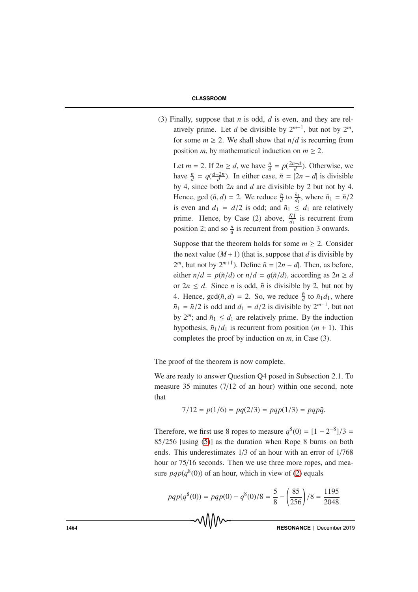(3) Finally, suppose that *n* is odd, *d* is even, and they are relatively prime. Let *d* be divisible by  $2^{m-1}$ , but not by  $2^m$ , for some  $m \geq 2$ . We shall show that  $n/d$  is recurring from position *m*, by mathematical induction on  $m \geq 2$ .

Let *m* = 2. If  $2n \ge d$ , we have  $\frac{n}{d} = p(\frac{2n-d}{d})$ . Otherwise, we have  $\frac{n}{d} = q(\frac{d-2n}{d})$ . In either case,  $\tilde{n} = |2n - d|$  is divisible by 4, since both 2*n* and *d* are divisible by 2 but not by 4. Hence, gcd  $(\tilde{n}, d) = 2$ . We reduce  $\frac{\tilde{n}}{d}$  to  $\frac{\tilde{n}_1}{d_1}$ , where  $\tilde{n}_1 = \tilde{n}/2$ is even and  $d_1 = d/2$  is odd; and  $\tilde{n}_1 \leq d_1$  are relatively prime. Hence, by Case (2) above,  $\frac{\tilde{N}1}{d_1}$  is recurrent from position 2; and so  $\frac{n}{d}$  is recurrent from position 3 onwards.

Suppose that the theorem holds for some  $m \geq 2$ . Consider the next value  $(M+1)$  (that is, suppose that *d* is divisible by  $2^m$ , but not by  $2^{m+1}$ ). Define  $\tilde{n} = |2n - d|$ . Then, as before, either  $n/d = p(\tilde{n}/d)$  or  $n/d = q(\tilde{n}/d)$ , according as  $2n \ge d$ or  $2n \le d$ . Since *n* is odd,  $\tilde{n}$  is divisible by 2, but not by 4. Hence,  $gcd(\tilde{n}, d) = 2$ . So, we reduce  $\frac{\tilde{n}}{d}$  to  $\tilde{n}_1 d_1$ , where  $\tilde{n}_1 = \tilde{n}/2$  is odd and  $d_1 = d/2$  is divisible by  $2^{m-1}$ , but not by  $2^m$ ; and  $\tilde{n}_1 \leq d_1$  are relatively prime. By the induction hypothesis,  $\tilde{n}_1/d_1$  is recurrent from position  $(m + 1)$ . This completes the proof by induction on *m*, in Case (3).

The proof of the theorem is now complete.

We are ready to answer Question Q4 posed in Subsection 2.1. To measure 35 minutes (7/12 of an hour) within one second, note that

$$
7/12 = p(1/6) = pq(2/3) = pqp(1/3) = pqp\bar{q}.
$$

Therefore, we first use 8 ropes to measure  $q^{8}(0) = [1 - 2^{-8}]/3 =$ 85/256 [using [\(5\)](#page-14-1)] as the duration when Rope 8 burns on both ends. This underestimates 1/3 of an hour with an error of 1/768 hour or  $75/16$  seconds. Then we use three more ropes, and measure  $pqp(q^{8}(0))$  of an hour, which in view of [\(2\)](#page-8-1) equals

$$
pqp(q^{8}(0)) = pqp(0) - q^{8}(0)/8 = \frac{5}{8} - \left(\frac{85}{256}\right)/8 = \frac{1195}{2048}
$$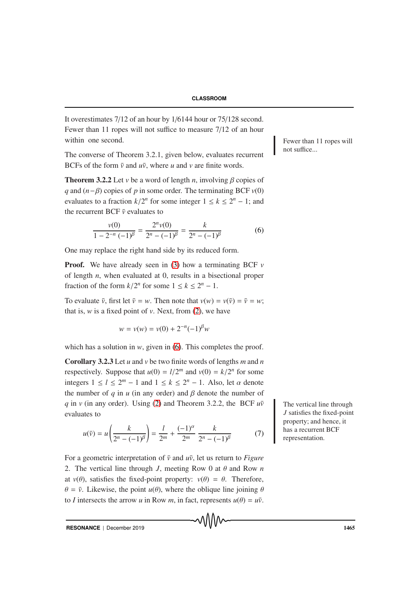It overestimates 7/12 of an hour by 1/6144 hour or 75/128 second. Fewer than 11 ropes will not suffice to measure 7/12 of an hour within one second.

The converse of Theorem 3.2.1, given below, evaluates recurrent BCFs of the form  $\bar{v}$  and  $u\bar{v}$ , where *u* and *v* are finite words.

**Theorem 3.2.2** Let *v* be a word of length *n*, involving  $\beta$  copies of *q* and  $(n−β)$  copies of *p* in some order. The terminating BCF  $v(0)$ evaluates to a fraction  $k/2^n$  for some integer  $1 \le k \le 2^n - 1$ ; and the recurrent BCF  $\bar{v}$  evaluates to

<span id="page-20-0"></span>
$$
\frac{v(0)}{1 - 2^{-n} (-1)^{\beta}} = \frac{2^n v(0)}{2^n - (-1)^{\beta}} = \frac{k}{2^n - (-1)^{\beta}}
$$
(6)

One may replace the right hand side by its reduced form.

**Proof.** We have already seen in [\(3\)](#page-9-0) how a terminating BCF  $\nu$ of length *n*, when evaluated at 0, results in a bisectional proper fraction of the form  $k/2^n$  for some  $1 \le k \le 2^n - 1$ .

To evaluate  $\bar{v}$ , first let  $\bar{v} = w$ . Then note that  $v(w) = v(\bar{v}) = \bar{v} = w$ ; that is,  $w$  is a fixed point of  $v$ . Next, from  $(2)$ , we have

$$
w = v(w) = v(0) + 2^{-n}(-1)^{\beta}w
$$

which has a solution in  $w$ , given in [\(6\)](#page-20-0). This completes the proof.

Corollary 3.2.3 Let *u* and *v* be two finite words of lengths *m* and *n* respectively. Suppose that  $u(0) = l/2^m$  and  $v(0) = k/2^n$  for some integers  $1 \leq l \leq 2^m - 1$  and  $1 \leq k \leq 2^n - 1$ . Also, let  $\alpha$  denote the number of  $q$  in  $u$  (in any order) and  $\beta$  denote the number of *q* in *v* (in any order). Using [\(2\)](#page-8-1) and Theorem 3.2.2, the BCF  $u\bar{v}$  The vertical line through evaluates to

<span id="page-20-1"></span>
$$
u(\bar{v}) = u\left(\frac{k}{2^n - (-1)^\beta}\right) = \frac{l}{2^m} + \frac{(-1)^\alpha}{2^m} \frac{k}{2^n - (-1)^\beta} \tag{7}
$$

For a geometric interpretation of  $\bar{v}$  and  $u\bar{v}$ , let us return to *Figure* 2. The vertical line through *J*, meeting Row 0 at  $\theta$  and Row *n* at  $v(\theta)$ , satisfies the fixed-point property:  $v(\theta) = \theta$ . Therefore,  $\theta = \bar{v}$ . Likewise, the point  $u(\theta)$ , where the oblique line joining  $\theta$ to *I* intersects the arrow *u* in Row *m*, in fact, represents  $u(\theta) = u\overline{v}$ . Fewer than 11 ropes will not suffice...

*J* satisfies the fixed-point property; and hence, it has a recurrent BCF representation.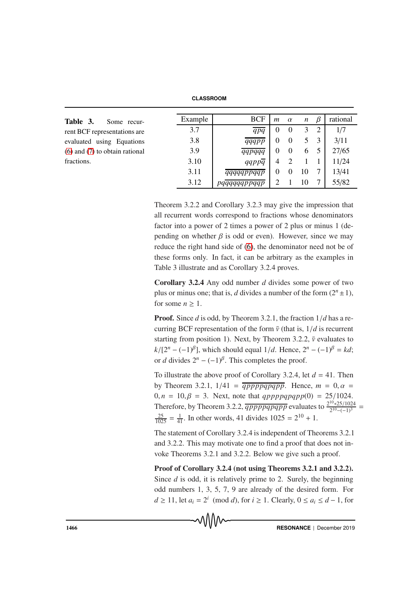**CLASSROOM**

| Table 3.<br>Some recur-            | Example | <b>BCF</b> | $\mathfrak{m}$ | $\alpha$ | $\boldsymbol{n}$ | β | rational |
|------------------------------------|---------|------------|----------------|----------|------------------|---|----------|
| rent BCF representations are       | 3.7     | qpq        | $\theta$       | $\theta$ |                  |   | 1/7      |
| evaluated using Equations          | 3.8     | qqqpp      | $\Omega$       | $\theta$ |                  |   | 3/11     |
| $(6)$ and $(7)$ to obtain rational | 3.9     | qqpqqq     | 0              | $\theta$ |                  |   | 27/65    |
| fractions.                         | 3.10    | qqppq      | $\overline{4}$ |          |                  |   | 11/24    |
|                                    | 3.11    | qqqqqppqqp | $\Omega$       |          | 10               |   | 13/41    |
|                                    | 3.12    | pqqp       |                |          |                  |   | 55/82    |

Theorem 3.2.2 and Corollary 3.2.3 may give the impression that all recurrent words correspond to fractions whose denominators factor into a power of 2 times a power of 2 plus or minus 1 (depending on whether  $\beta$  is odd or even). However, since we may reduce the right hand side of [\(6\)](#page-20-0), the denominator need not be of these forms only. In fact, it can be arbitrary as the examples in Table 3 illustrate and as Corollary 3.2.4 proves.

Corollary 3.2.4 Any odd number *d* divides some power of two plus or minus one; that is, *d* divides a number of the form  $(2<sup>n</sup> \pm 1)$ , for some  $n \geq 1$ .

Proof. Since *d* is odd, by Theorem 3.2.1, the fraction 1/*d* has a recurring BCF representation of the form  $\bar{v}$  (that is,  $1/d$  is recurrent starting from position 1). Next, by Theorem 3.2.2,  $\bar{v}$  evaluates to  $k/[2^{n} - (-1)^{\beta}]$ , which should equal  $1/d$ . Hence,  $2^{n} - (-1)^{\beta} = kd$ ; or *d* divides  $2^n - (-1)^{\beta}$ . This completes the proof.

To illustrate the above proof of Corollary 3.2.4, let *d* = 41. Then by Theorem 3.2.1,  $1/41 = \frac{1}{9}$  *qpppqpqpp*. Hence,  $m = 0, \alpha =$  $0, n = 10, \beta = 3$ . Next, note that *qppppqpqpp*(0) = 25/1024. Therefore, by Theorem 3.2.2,  $\overline{qppppqppqpp}$  evaluates to  $\frac{2^{10}*25/1024}{2^{10}-(-1)^3}$  =  $\frac{25}{1025} = \frac{1}{41}$ . In other words, 41 divides  $1025 = 2^{10} + 1$ .

The statement of Corollary 3.2.4 is independent of Theorems 3.2.1 and 3.2.2. This may motivate one to find a proof that does not invoke Theorems 3.2.1 and 3.2.2. Below we give such a proof.

Proof of Corollary 3.2.4 (not using Theorems 3.2.1 and 3.2.2). Since *d* is odd, it is relatively prime to 2. Surely, the beginning odd numbers 1, 3, 5, 7, 9 are already of the desired form. For *d* ≥ 11, let  $a_i = 2^i \pmod{d}$ , for  $i \ge 1$ . Clearly,  $0 \le a_i \le d - 1$ , for

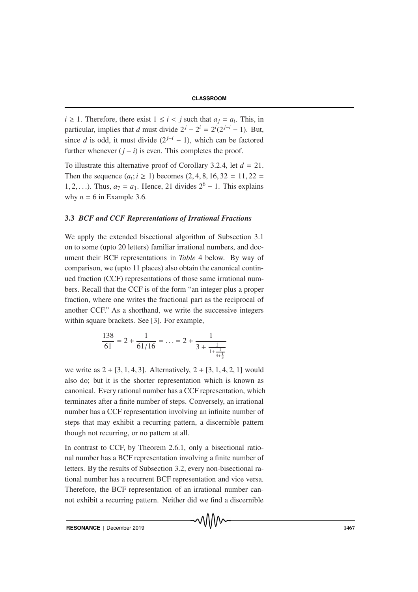*i* ≥ 1. Therefore, there exist  $1 ≤ i < j$  such that  $a<sub>i</sub> = a<sub>i</sub>$ . This, in particular, implies that *d* must divide  $2^{j} - 2^{i} = 2^{i}(2^{j-i} - 1)$ . But, since *d* is odd, it must divide  $(2^{j-i} - 1)$ , which can be factored further whenever  $(j - i)$  is even. This completes the proof.

To illustrate this alternative proof of Corollary 3.2.4, let *d* = 21. Then the sequence  $(a_i; i \ge 1)$  becomes  $(2, 4, 8, 16, 32 = 11, 22 = 11)$ 1, 2,...). Thus,  $a_7 = a_1$ . Hence, 21 divides  $2^6 - 1$ . This explains why  $n = 6$  in Example 3.6.

## 3.3 *BCF and CCF Representations of Irrational Fractions*

We apply the extended bisectional algorithm of Subsection 3.1 on to some (upto 20 letters) familiar irrational numbers, and document their BCF representations in *Table* 4 below. By way of comparison, we (upto 11 places) also obtain the canonical continued fraction (CCF) representations of those same irrational numbers. Recall that the CCF is of the form "an integer plus a proper fraction, where one writes the fractional part as the reciprocal of another CCF." As a shorthand, we write the successive integers within square brackets. See [3]. For example,

$$
\frac{138}{61} = 2 + \frac{1}{61/16} = \ldots = 2 + \frac{1}{3 + \frac{1}{1 + \frac{1}{4 + \frac{1}{3}}}}
$$

we write as  $2 + [3, 1, 4, 3]$ . Alternatively,  $2 + [3, 1, 4, 2, 1]$  would also do; but it is the shorter representation which is known as canonical. Every rational number has a CCF representation, which terminates after a finite number of steps. Conversely, an irrational number has a CCF representation involving an infinite number of steps that may exhibit a recurring pattern, a discernible pattern though not recurring, or no pattern at all.

In contrast to CCF, by Theorem 2.6.1, only a bisectional rational number has a BCF representation involving a finite number of letters. By the results of Subsection 3.2, every non-bisectional rational number has a recurrent BCF representation and vice versa. Therefore, the BCF representation of an irrational number cannot exhibit a recurring pattern. Neither did we find a discernible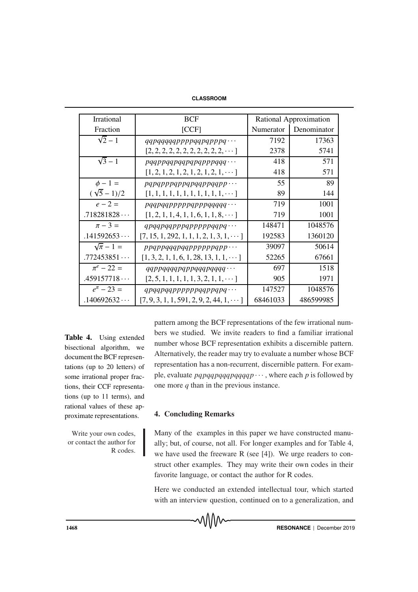| Irrational       | <b>BCF</b>                                                           | Rational Approximation |             |  |
|------------------|----------------------------------------------------------------------|------------------------|-------------|--|
| Fraction         | [CCF]                                                                | Numerator              | Denominator |  |
| $\sqrt{2}-1$     | $qqpqqqqqppppqqpppppppq\cdots$                                       | 7192                   | 17363       |  |
|                  | $[2, 2, 2, 2, 2, 2, 2, 2, 2, 2, 2, \cdots]$                          | 2378                   | 5741        |  |
| $\sqrt{3}-1$     | $pqqpqqpqqpqpqppqqqq \cdots$                                         | 418                    | 571         |  |
|                  | $[1, 2, 1, 2, 1, 2, 1, 2, 1, 2, 1, \cdots]$                          | 418                    | 571         |  |
| $\phi - 1 =$     | $pqpqppqppqpqqqppqqpp \cdots$                                        | 55                     | 89          |  |
| $(\sqrt{5}-1)/2$ | $[1, 1, 1, 1, 1, 1, 1, 1, 1, 1, 1, \cdots]$                          | 89                     | 144         |  |
| $e - 2 =$        | $p$ qq $p$ qq $p$ $p$ $p$ $p$ q $p$ $p$ $q$ q $q$ q $q$ $q$ $\cdots$ | 719                    | 1001        |  |
| .718281828       | $[1, 2, 1, 1, 4, 1, 1, 6, 1, 1, 8, \cdots]$                          | 719                    | 1001        |  |
| $\pi - 3 =$      | $q$ pqqpqqpppqpppppqqpq $\cdots$                                     | 148471                 | 1048576     |  |
| .141592653       | $[7, 15, 1, 292, 1, 1, 1, 2, 1, 3, 1, \dots]$                        | 192583                 | 1360120     |  |
| $\sqrt{\pi}-1=$  | $p$ pqppqqqpqqpppppppqpp $\cdots$                                    | 39097                  | 50614       |  |
| .772453851       | $[1, 3, 2, 1, 1, 6, 1, 28, 13, 1, 1, \dots]$                         | 52265                  | 67661       |  |
| $\pi^{e}$ – 22 = | $qqppqqqqppqqqqpqqqqqqqqq\cdots$                                     | 697                    | 1518        |  |
| .459157718       | $[2, 5, 1, 1, 1, 1, 1, 3, 2, 1, 1, \cdots]$                          | 905                    | 1971        |  |
| $e^{\pi} - 23 =$ | $qpqqpqqpppppqqppqpqq \cdots$                                        | 147527                 | 1048576     |  |
| .140692632       | $[7, 9, 3, 1, 1, 591, 2, 9, 2, 44, 1, \dots]$                        | 68461033               | 486599985   |  |

Table 4. Using extended bisectional algorithm, we document the BCF representations (up to 20 letters) of some irrational proper fractions, their CCF representations (up to 11 terms), and rational values of these approximate representations.

Write your own codes, or contact the author for R codes. pattern among the BCF representations of the few irrational numbers we studied. We invite readers to find a familiar irrational number whose BCF representation exhibits a discernible pattern. Alternatively, the reader may try to evaluate a number whose BCF representation has a non-recurrent, discernible pattern. For example, evaluate  $pqpqqqpqqqqppqqqp \cdots$ , where each *p* is followed by one more *q* than in the previous instance.

## 4. Concluding Remarks

Many of the examples in this paper we have constructed manually; but, of course, not all. For longer examples and for Table 4, we have used the freeware R (see [4]). We urge readers to construct other examples. They may write their own codes in their favorite language, or contact the author for R codes.

Here we conducted an extended intellectual tour, which started with an interview question, continued on to a generalization, and